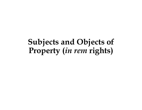## Subjects and Objects of Property (in rem rights)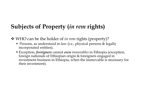## Subjects of Property (in rem rights)

- ◆ WHO can be the holder of in rem rights (property)?
	- **Persons, as understood in law (i.e., physical persons & legally** incorporated entities).
	- Exception, foreigners cannot own immovables in Ethiopia (exception, foreign nationals of Ethiopian origin & foreigners engaged in investment business in Ethiopia, when the immovable is necessary for their investment).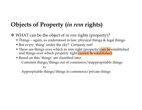## Objects of Property (in rem rights)

WHAT can be the object of in rem rights (property)?

- 
- But every 'thing' under the sky? Certainly not!
- **bjects of Property (***in rem* **rights)**<br>WHAT can be the object of *in rem* rights (property)?<br>• Things again, as understood in law: physical things & legal things.<br>• But every 'thing' under the sky? Certainly not!<br>• There • There are things over which in rem right (property) can be established and things over which property right cannot be established. **ects of Property (***in rem* **rights)**<br>HAT can be the object of *in rem* rights (property)?<br>hings – again, as understood in law: physical things & legal things.<br>ut every 'thing' under the sky? Certainly not!<br>here are things
- Based on this 'things' are classified into:
	-

Vs.

Appropriable things/things in commerce/private things